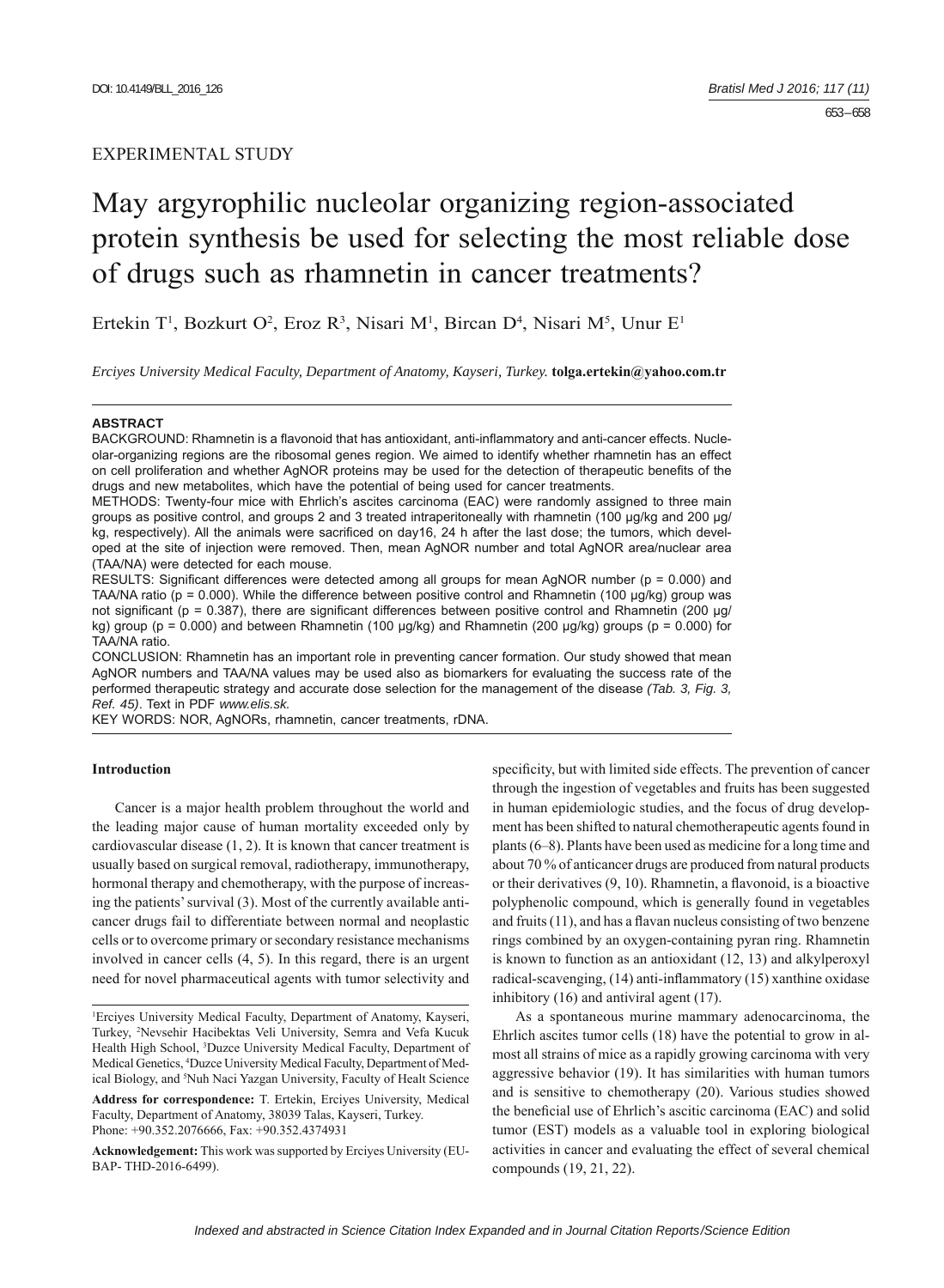# EXPERIMENTAL STUDY

# May argyrophilic nucleolar organizing region-associated protein synthesis be used for selecting the most reliable dose of drugs such as rhamnetin in cancer treatments?

Ertekin T<sup>1</sup>, Bozkurt O<sup>2</sup>, Eroz R<sup>3</sup>, Nisari M<sup>1</sup>, Bircan D<sup>4</sup>, Nisari M<sup>5</sup>, Unur E<sup>1</sup>

*Erciyes University Medical Faculty, Department of Anatomy, Kayseri, Turkey.* **tolga.ertekin@yahoo.com.tr**

#### **ABSTRACT**

BACKGROUND: Rhamnetin is a flavonoid that has antioxidant, anti-inflammatory and anti-cancer effects. Nucleolar-organizing regions are the ribosomal genes region. We aimed to identify whether rhamnetin has an effect on cell proliferation and whether AgNOR proteins may be used for the detection of therapeutic benefits of the drugs and new metabolites, which have the potential of being used for cancer treatments.

METHODS: Twenty-four mice with Ehrlich's ascites carcinoma (EAC) were randomly assigned to three main groups as positive control, and groups 2 and 3 treated intraperitoneally with rhamnetin (100 μg/kg and 200 μg/ kg, respectively). All the animals were sacrificed on day16, 24 h after the last dose; the tumors, which developed at the site of injection were removed. Then, mean AgNOR number and total AgNOR area/nuclear area (TAA/NA) were detected for each mouse.

RESULTS: Significant differences were detected among all groups for mean AgNOR number ( $p = 0.000$ ) and TAA/NA ratio (p = 0.000). While the difference between positive control and Rhamnetin (100 μg/kg) group was not significant (p = 0.387), there are significant differences between positive control and Rhamnetin (200 μg/ kg) group ( $p = 0.000$ ) and between Rhamnetin (100 μg/kg) and Rhamnetin (200 μg/kg) groups ( $p = 0.000$ ) for TAA/NA ratio.

CONCLUSION: Rhamnetin has an important role in preventing cancer formation. Our study showed that mean AgNOR numbers and TAA/NA values may be used also as biomarkers for evaluating the success rate of the performed therapeutic strategy and accurate dose selection for the management of the disease *(Tab. 3, Fig. 3, Ref. 45)*. Text in PDF *www.elis.sk.*

KEY WORDS: NOR, AgNORs, rhamnetin, cancer treatments, rDNA.

## **Introduction**

Cancer is a major health problem throughout the world and the leading major cause of human mortality exceeded only by cardiovascular disease (1, 2). It is known that cancer treatment is usually based on surgical removal, radiotherapy, immunotherapy, hormonal therapy and chemotherapy, with the purpose of increasing the patients' survival (3). Most of the currently available anticancer drugs fail to differentiate between normal and neoplastic cells or to overcome primary or secondary resistance mechanisms involved in cancer cells (4, 5). In this regard, there is an urgent need for novel pharmaceutical agents with tumor selectivity and

1 Erciyes University Medical Faculty, Department of Anatomy, Kayseri, Turkey, 2 Nevsehir Hacibektas Veli University, Semra and Vefa Kucuk Health High School, <sup>3</sup>Duzce University Medical Faculty, Department of Medical Genetics, 4 Duzce University Medical Faculty, Department of Medical Biology, and <sup>5</sup>Nuh Naci Yazgan University, Faculty of Healt Science

**Address for correspondence:** T. Ertekin, Erciyes University, Medical Faculty, Department of Anatomy, 38039 Talas, Kayseri, Turkey. Phone: +90.352.2076666, Fax: +90.352.4374931

**Acknowledgement:** This work was supported by Erciyes University (EU-BAP- THD-2016-6499).

specificity, but with limited side effects. The prevention of cancer through the ingestion of vegetables and fruits has been suggested in human epidemiologic studies, and the focus of drug development has been shifted to natural chemotherapeutic agents found in plants (6–8). Plants have been used as medicine for a long time and about 70 % of anticancer drugs are produced from natural products or their derivatives  $(9, 10)$ . Rhamnetin, a flavonoid, is a bioactive polyphenolic compound, which is generally found in vegetables and fruits  $(11)$ , and has a flavan nucleus consisting of two benzene rings combined by an oxygen-containing pyran ring. Rhamnetin is known to function as an antioxidant (12, 13) and alkylperoxyl radical-scavenging,  $(14)$  anti-inflammatory  $(15)$  xanthine oxidase inhibitory (16) and antiviral agent (17).

As a spontaneous murine mammary adenocarcinoma, the Ehrlich ascites tumor cells (18) have the potential to grow in almost all strains of mice as a rapidly growing carcinoma with very aggressive behavior (19). It has similarities with human tumors and is sensitive to chemotherapy (20). Various studies showed the beneficial use of Ehrlich's ascitic carcinoma (EAC) and solid tumor (EST) models as a valuable tool in exploring biological activities in cancer and evaluating the effect of several chemical compounds (19, 21, 22).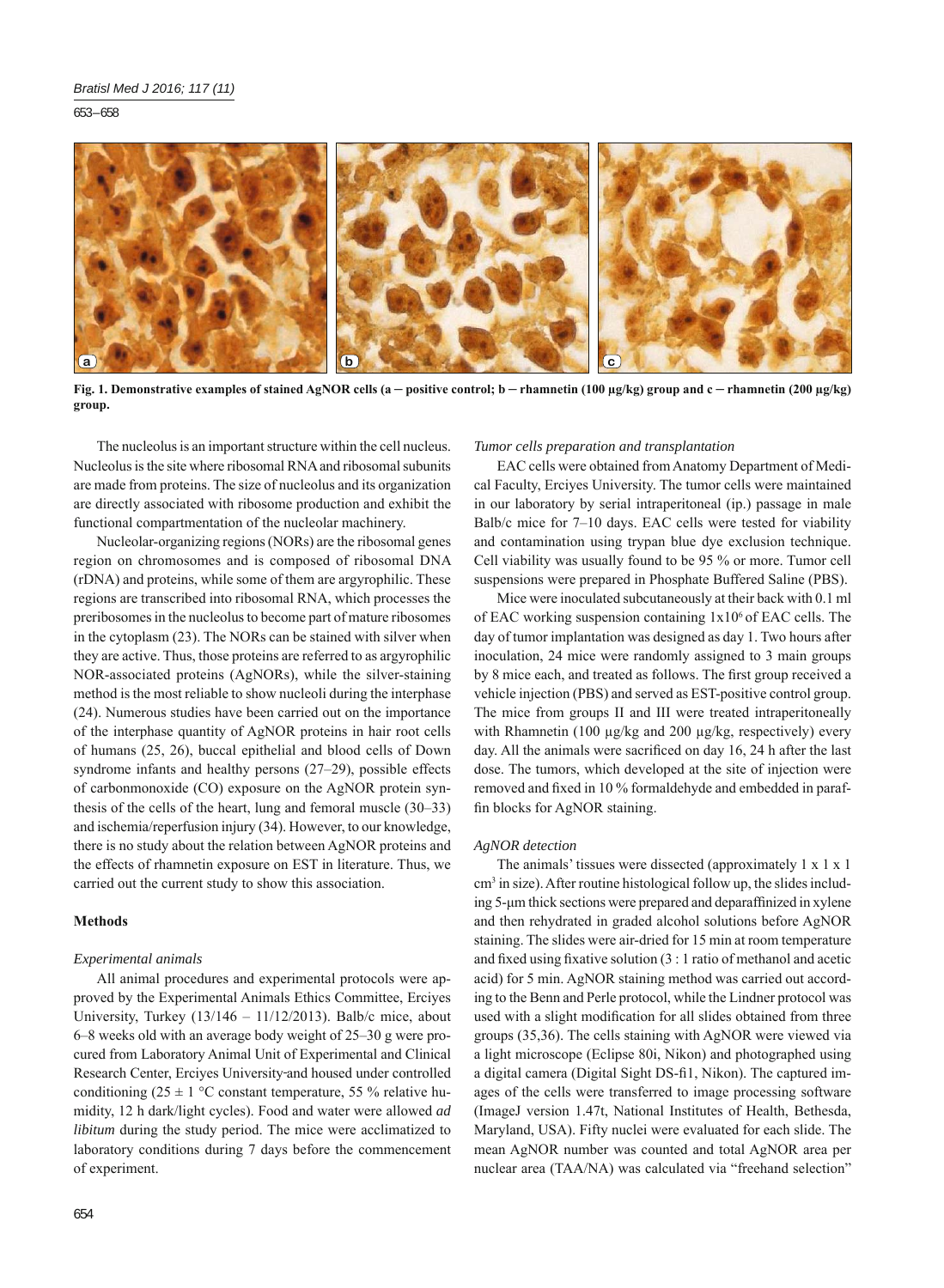653 – 658



**Fig. 1. Demonstrative examples of stained AgNOR cells (a – positive control; b – rhamnetin (100 μg/kg) group and c – rhamnetin (200 μg/kg) group.**

The nucleolus is an important structure within the cell nucleus. Nucleolus is the site where ribosomal RNA and ribosomal subunits are made from proteins. The size of nucleolus and its organization are directly associated with ribosome production and exhibit the functional compartmentation of the nucleolar machinery.

Nucleolar-organizing regions (NORs) are the ribosomal genes region on chromosomes and is composed of ribosomal DNA (rDNA) and proteins, while some of them are argyrophilic. These regions are transcribed into ribosomal RNA, which processes the preribosomes in the nucleolus to become part of mature ribosomes in the cytoplasm (23). The NORs can be stained with silver when they are active. Thus, those proteins are referred to as argyrophilic NOR-associated proteins (AgNORs), while the silver-staining method is the most reliable to show nucleoli during the interphase (24). Numerous studies have been carried out on the importance of the interphase quantity of AgNOR proteins in hair root cells of humans (25, 26), buccal epithelial and blood cells of Down syndrome infants and healthy persons (27–29), possible effects of carbonmonoxide (CO) exposure on the AgNOR protein synthesis of the cells of the heart, lung and femoral muscle (30–33) and ischemia/reperfusion injury (34). However, to our knowledge, there is no study about the relation between AgNOR proteins and the effects of rhamnetin exposure on EST in literature. Thus, we carried out the current study to show this association.

## **Methods**

#### *Experimental animals*

All animal procedures and experimental protocols were approved by the Experimental Animals Ethics Committee, Erciyes University, Turkey (13/146 – 11/12/2013). Balb/c mice, about 6–8 weeks old with an average body weight of 25–30 g were procured from Laboratory Animal Unit of Experimental and Clinical Research Center, Erciyes University and housed under controlled conditioning (25  $\pm$  1 °C constant temperature, 55 % relative humidity, 12 h dark/light cycles). Food and water were allowed *ad libitum* during the study period. The mice were acclimatized to laboratory conditions during 7 days before the commencement of experiment.

#### *Tumor cells preparation and transplantation*

EAC cells were obtained from Anatomy Department of Medical Faculty, Erciyes University. The tumor cells were maintained in our laboratory by serial intraperitoneal (ip.) passage in male Balb/c mice for 7–10 days. EAC cells were tested for viability and contamination using trypan blue dye exclusion technique. Cell viability was usually found to be 95 % or more. Tumor cell suspensions were prepared in Phosphate Buffered Saline (PBS).

Mice were inoculated subcutaneously at their back with 0.1 ml of EAC working suspension containing  $1x10<sup>6</sup>$  of EAC cells. The day of tumor implantation was designed as day 1. Two hours after inoculation, 24 mice were randomly assigned to 3 main groups by 8 mice each, and treated as follows. The first group received a vehicle injection (PBS) and served as EST-positive control group. The mice from groups II and III were treated intraperitoneally with Rhamnetin (100 μg/kg and 200 μg/kg, respectively) every day. All the animals were sacrificed on day 16, 24 h after the last dose. The tumors, which developed at the site of injection were removed and fixed in 10 % formaldehyde and embedded in paraffin blocks for AgNOR staining.

## *AgNOR detection*

The animals' tissues were dissected (approximately 1 x 1 x 1 cm3 in size). After routine histological follow up, the slides including 5-μm thick sections were prepared and deparaffinized in xylene and then rehydrated in graded alcohol solutions before AgNOR staining. The slides were air-dried for 15 min at room temperature and fixed using fixative solution  $(3:1$  ratio of methanol and acetic acid) for 5 min. AgNOR staining method was carried out according to the Benn and Perle protocol, while the Lindner protocol was used with a slight modification for all slides obtained from three groups (35,36). The cells staining with AgNOR were viewed via a light microscope (Eclipse 80i, Nikon) and photographed using a digital camera (Digital Sight DS-fi1, Nikon). The captured images of the cells were transferred to image processing software (ImageJ version 1.47t, National Institutes of Health, Bethesda, Maryland, USA). Fifty nuclei were evaluated for each slide. The mean AgNOR number was counted and total AgNOR area per nuclear area (TAA/NA) was calculated via "freehand selection"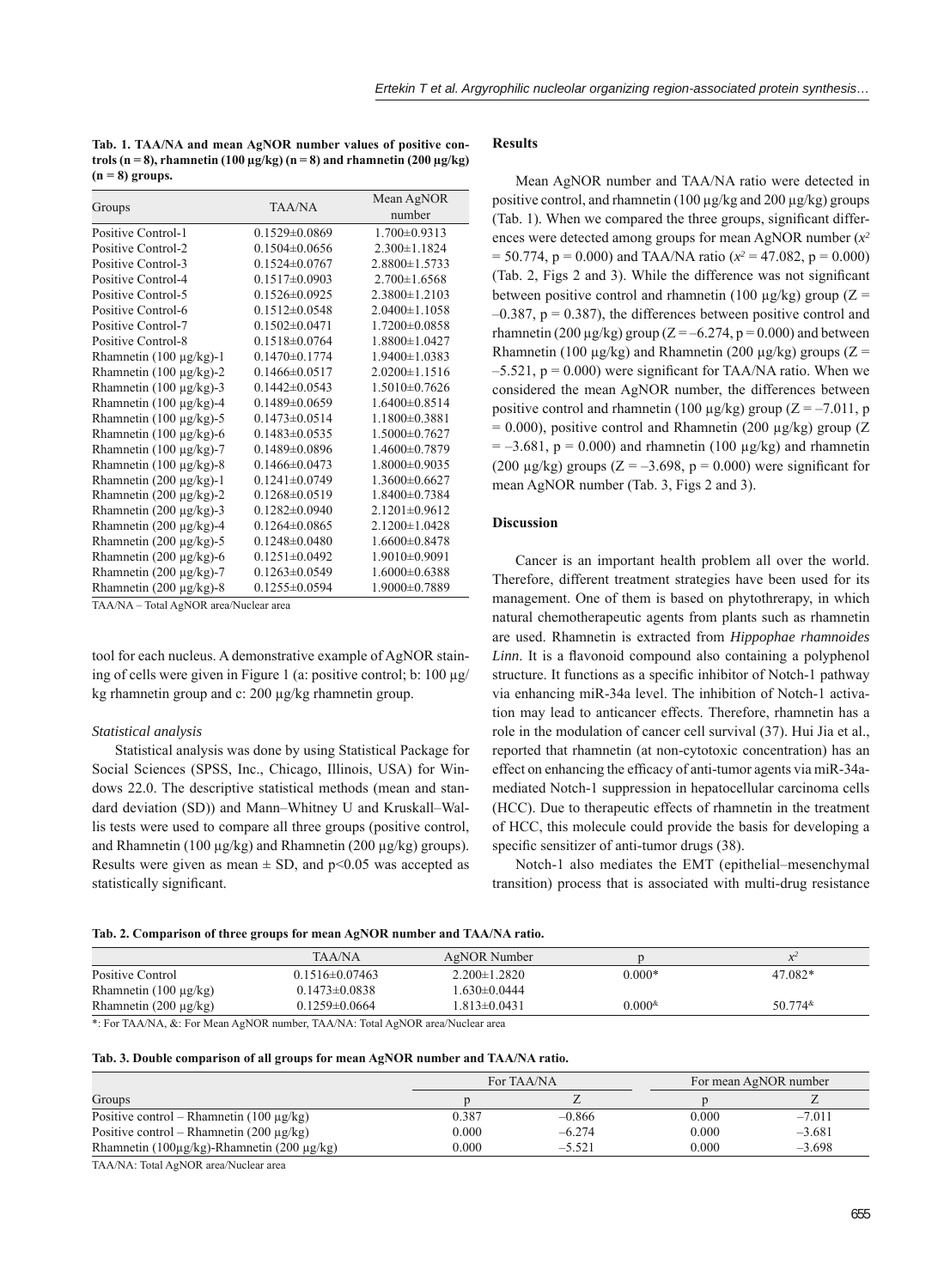**Tab. 1. TAA/NA and mean AgNOR number values of positive controls (n = 8), rhamnetin (100**  $\mu$ **g/kg) (n = 8) and rhamnetin (200**  $\mu$ **g/kg) (n = 8) groups.**

| Groups                        | <b>TAA/NA</b>       | Mean AgNOR<br>number |  |
|-------------------------------|---------------------|----------------------|--|
| Positive Control-1            | $0.1529 \pm 0.0869$ | $1.700 \pm 0.9313$   |  |
| Positive Control-2            | $0.1504 \pm 0.0656$ | $2.300 \pm 1.1824$   |  |
| Positive Control-3            | $0.1524 \pm 0.0767$ | 2.8800±1.5733        |  |
| Positive Control-4            | $0.1517 \pm 0.0903$ | $2.700 \pm 1.6568$   |  |
| Positive Control-5            | $0.1526 \pm 0.0925$ | $2.3800 \pm 1.2103$  |  |
| Positive Control-6            | $0.1512 \pm 0.0548$ | $2.0400 \pm 1.1058$  |  |
| Positive Control-7            | $0.1502 \pm 0.0471$ | 1.7200±0.0858        |  |
| Positive Control-8            | $0.1518 \pm 0.0764$ | 1.8800±1.0427        |  |
| Rhamnetin $(100 \mu g/kg)$ -1 | $0.1470 \pm 0.1774$ | $1.9400 \pm 1.0383$  |  |
| Rhamnetin $(100 \mu g/kg)$ -2 | $0.1466 \pm 0.0517$ | $2.0200 \pm 1.1516$  |  |
| Rhamnetin $(100 \mu g/kg)$ -3 | $0.1442 \pm 0.0543$ | $1.5010\pm0.7626$    |  |
| Rhamnetin $(100 \mu g/kg)$ -4 | $0.1489 \pm 0.0659$ | $1.6400 \pm 0.8514$  |  |
| Rhamnetin $(100 \mu g/kg)$ -5 | $0.1473 \pm 0.0514$ | 1.1800±0.3881        |  |
| Rhamnetin $(100 \mu g/kg)$ -6 | $0.1483 \pm 0.0535$ | 1.5000±0.7627        |  |
| Rhamnetin $(100 \mu g/kg)$ -7 | $0.1489 \pm 0.0896$ | 1.4600±0.7879        |  |
| Rhamnetin $(100 \mu g/kg)$ -8 | $0.1466 \pm 0.0473$ | $1.8000 \pm 0.9035$  |  |
| Rhamnetin (200 µg/kg)-1       | $0.1241 \pm 0.0749$ | $1.3600 \pm 0.6627$  |  |
| Rhamnetin (200 µg/kg)-2       | $0.1268 \pm 0.0519$ | 1.8400±0.7384        |  |
| Rhamnetin $(200 \mu g/kg)$ -3 | $0.1282 \pm 0.0940$ | $2.1201 \pm 0.9612$  |  |
| Rhamnetin (200 µg/kg)-4       | $0.1264 \pm 0.0865$ | 2.1200±1.0428        |  |
| Rhamnetin $(200 \mu g/kg)$ -5 | $0.1248 \pm 0.0480$ | $1.6600 \pm 0.8478$  |  |
| Rhamnetin $(200 \mu g/kg)$ -6 | $0.1251 \pm 0.0492$ | 1.9010±0.9091        |  |
| Rhamnetin $(200 \mu g/kg)$ -7 | $0.1263 \pm 0.0549$ | $1.6000 \pm 0.6388$  |  |
| Rhamnetin $(200 \mu g/kg)$ -8 | $0.1255 \pm 0.0594$ | 1.9000±0.7889        |  |

TAA/NA – Total AgNOR area/Nuclear area

tool for each nucleus. A demonstrative example of AgNOR staining of cells were given in Figure 1 (a: positive control; b: 100 μg/ kg rhamnetin group and c: 200 μg/kg rhamnetin group.

## *Statistical analysis*

Statistical analysis was done by using Statistical Package for Social Sciences (SPSS, Inc., Chicago, Illinois, USA) for Windows 22.0. The descriptive statistical methods (mean and standard deviation (SD)) and Mann–Whitney U and Kruskall–Wallis tests were used to compare all three groups (positive control, and Rhamnetin (100 μg/kg) and Rhamnetin (200 μg/kg) groups). Results were given as mean  $\pm$  SD, and p<0.05 was accepted as statistically significant.

# **Results**

Mean AgNOR number and TAA/NA ratio were detected in positive control, and rhamnetin (100 μg/kg and 200 μg/kg) groups  $(Tab. 1)$ . When we compared the three groups, significant differences were detected among groups for mean AgNOR number (*x2*  $= 50.774$ ,  $p = 0.000$ ) and TAA/NA ratio ( $x^2 = 47.082$ ,  $p = 0.000$ )  $(Tab. 2, Figs 2 and 3)$ . While the difference was not significant between positive control and rhamnetin (100  $\mu$ g/kg) group (Z =  $-0.387$ ,  $p = 0.387$ ), the differences between positive control and rhamnetin (200 μg/kg) group ( $Z = -6.274$ ,  $p = 0.000$ ) and between Rhamnetin (100 μg/kg) and Rhamnetin (200 μg/kg) groups ( $Z =$  $-5.521$ ,  $p = 0.000$ ) were significant for TAA/NA ratio. When we considered the mean AgNOR number, the differences between positive control and rhamnetin (100 μg/kg) group ( $Z = -7.011$ , p  $= 0.000$ ), positive control and Rhamnetin (200 μg/kg) group (Z  $= -3.681$ ,  $p = 0.000$ ) and rhamnetin (100 µg/kg) and rhamnetin (200 μg/kg) groups ( $Z = -3.698$ ,  $p = 0.000$ ) were significant for mean AgNOR number (Tab. 3, Figs 2 and 3).

## **Discussion**

Cancer is an important health problem all over the world. Therefore, different treatment strategies have been used for its management. One of them is based on phytothrerapy, in which natural chemotherapeutic agents from plants such as rhamnetin are used. Rhamnetin is extracted from *Hippophae rhamnoides Linn*. It is a flavonoid compound also containing a polyphenol structure. It functions as a specific inhibitor of Notch-1 pathway via enhancing miR-34a level. The inhibition of Notch-1 activation may lead to anticancer effects. Therefore, rhamnetin has a role in the modulation of cancer cell survival (37). Hui Jia et al., reported that rhamnetin (at non-cytotoxic concentration) has an effect on enhancing the efficacy of anti-tumor agents via miR-34amediated Notch-1 suppression in hepatocellular carcinoma cells (HCC). Due to therapeutic effects of rhamnetin in the treatment of HCC, this molecule could provide the basis for developing a specific sensitizer of anti-tumor drugs (38).

Notch-1 also mediates the EMT (epithelial–mesenchymal transition) process that is associated with multi-drug resistance

#### **Tab. 2. Comparison of three groups for mean AgNOR number and TAA/NA ratio.**

|                            | TAA/NA               | AgNOR Number       |           | r∸        |
|----------------------------|----------------------|--------------------|-----------|-----------|
| Positive Control           | $0.1516 \pm 0.07463$ | $2.200 \pm 1.2820$ | $0.000*$  | 47.082*   |
| Rhamnetin $(100 \mu g/kg)$ | $0.1473\pm0.0838$    | $1.630 \pm 0.0444$ |           |           |
| Rhamnetin $(200 \mu g/kg)$ | $0.1259\pm0.0664$    | 1.813±0.0431       | $0.000^*$ | $50.774*$ |

\*: For TAA/NA, &: For Mean AgNOR number, TAA/NA: Total AgNOR area/Nuclear area

### **Tab. 3. Double comparison of all groups for mean AgNOR number and TAA/NA ratio.**

|                                                       |       | For TAA/NA |       | For mean AgNOR number |  |
|-------------------------------------------------------|-------|------------|-------|-----------------------|--|
| Groups                                                |       |            |       |                       |  |
| Positive control – Rhamnetin $(100 \mu g/kg)$         | 0.387 | $-0.866$   | 0.000 | $-7.011$              |  |
| Positive control – Rhamnetin (200 $\mu$ g/kg)         | 0.000 | $-6.274$   | 0.000 | $-3.681$              |  |
| Rhamnetin (100 $\mu$ g/kg)-Rhamnetin (200 $\mu$ g/kg) | 0.000 | $-5.521$   | 0.000 | $-3.698$              |  |

TAA/NA: Total AgNOR area/Nuclear area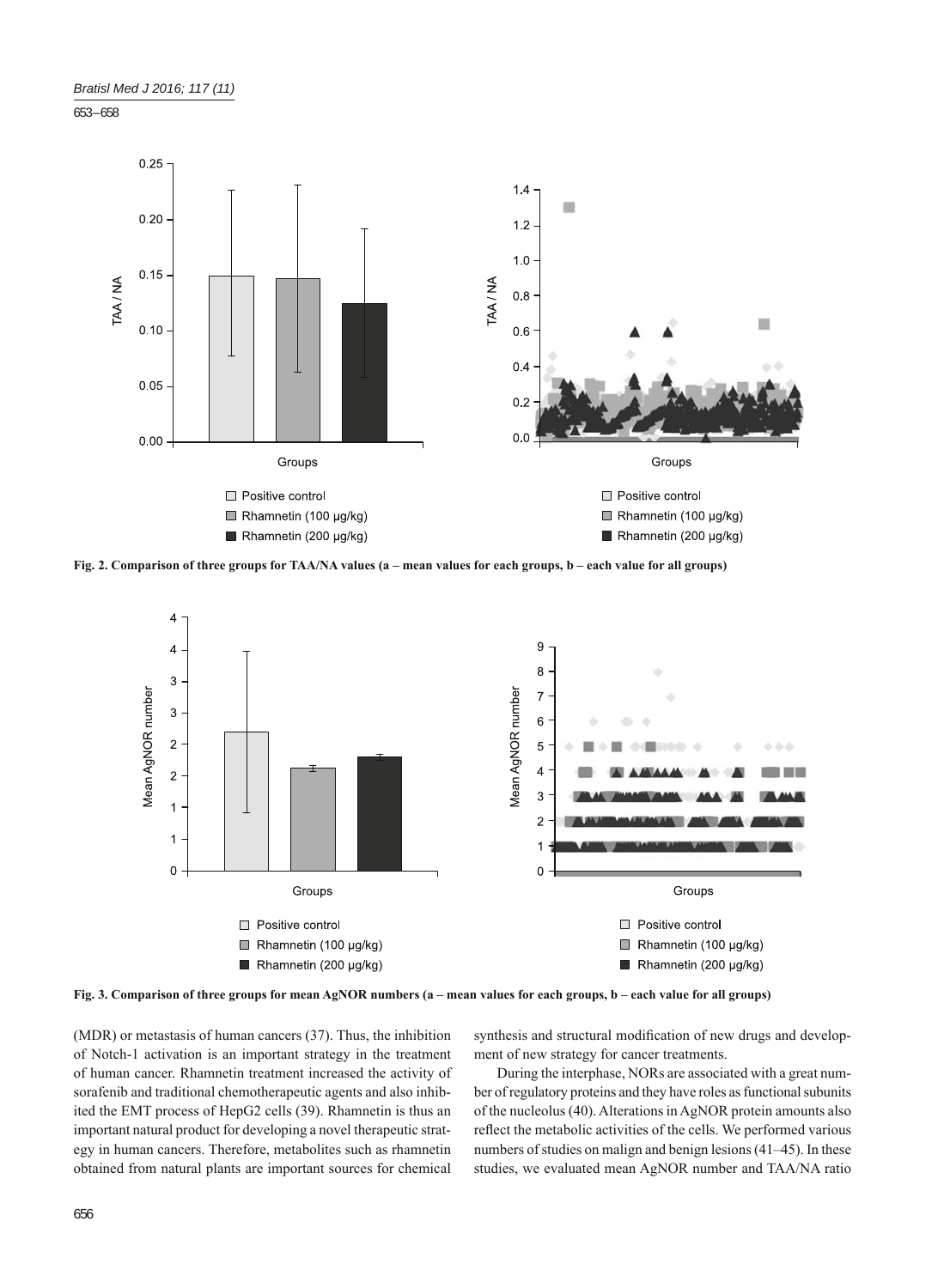653 – 658



**Fig. 2. Comparison of three groups for TAA/NA values (a – mean values for each groups, b – each value for all groups)**



**Fig. 3. Comparison of three groups for mean AgNOR numbers (a – mean values for each groups, b – each value for all groups)**

(MDR) or metastasis of human cancers (37). Thus, the inhibition of Notch-1 activation is an important strategy in the treatment of human cancer. Rhamnetin treatment increased the activity of sorafenib and traditional chemotherapeutic agents and also inhibited the EMT process of HepG2 cells (39). Rhamnetin is thus an important natural product for developing a novel therapeutic strategy in human cancers. Therefore, metabolites such as rhamnetin obtained from natural plants are important sources for chemical

synthesis and structural modification of new drugs and development of new strategy for cancer treatments.

During the interphase, NORs are associated with a great number of regulatory proteins and they have roles as functional subunits of the nucleolus (40). Alterations in AgNOR protein amounts also reflect the metabolic activities of the cells. We performed various numbers of studies on malign and benign lesions (41–45). In these studies, we evaluated mean AgNOR number and TAA/NA ratio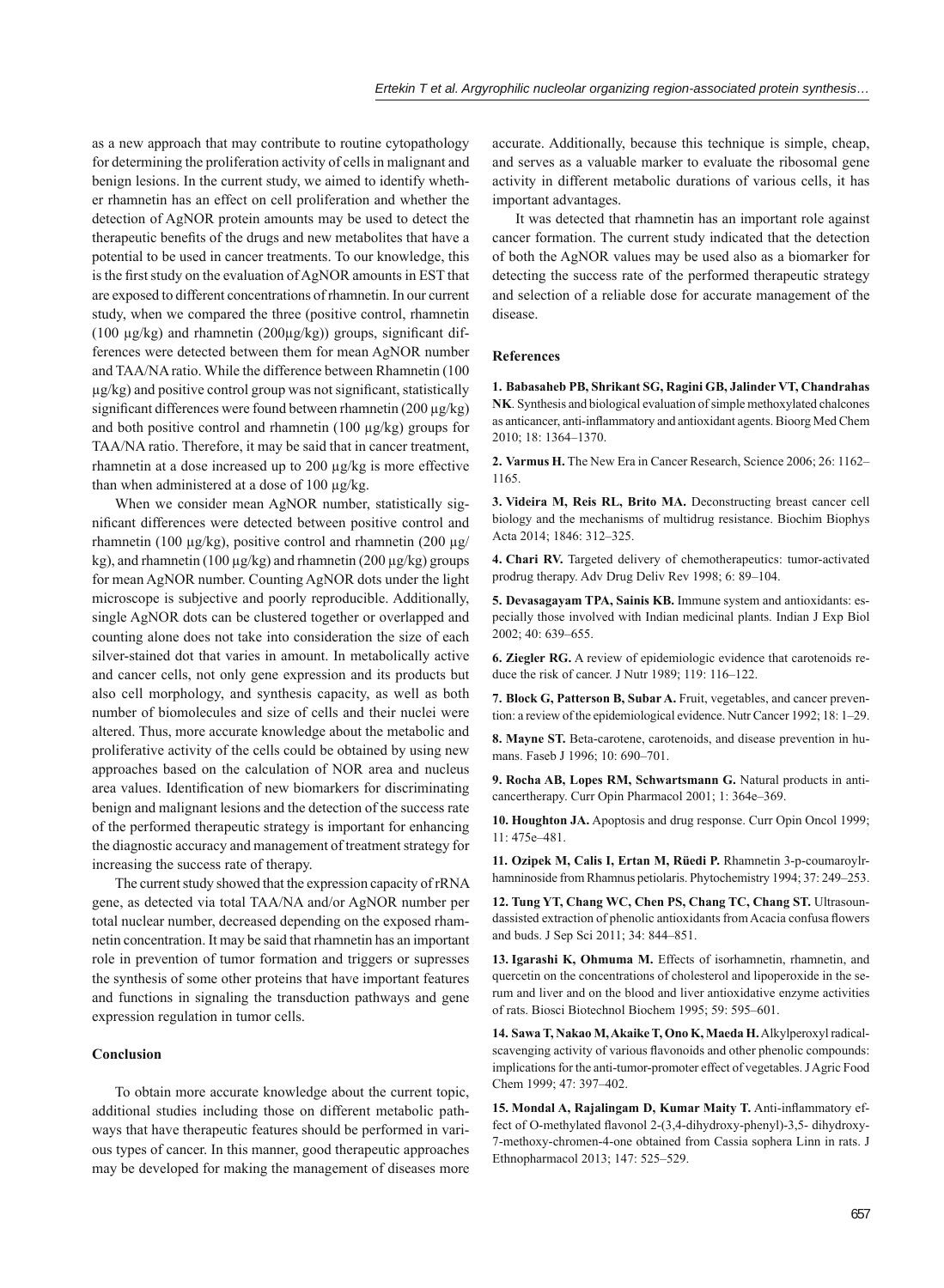as a new approach that may contribute to routine cytopathology for determining the proliferation activity of cells in malignant and benign lesions. In the current study, we aimed to identify whether rhamnetin has an effect on cell proliferation and whether the detection of AgNOR protein amounts may be used to detect the therapeutic benefits of the drugs and new metabolites that have a potential to be used in cancer treatments. To our knowledge, this is the first study on the evaluation of AgNOR amounts in EST that are exposed to different concentrations of rhamnetin. In our current study, when we compared the three (positive control, rhamnetin (100  $\mu$ g/kg) and rhamnetin (200 $\mu$ g/kg)) groups, significant differences were detected between them for mean AgNOR number and TAA/NA ratio. While the difference between Rhamnetin (100  $\mu$ g/kg) and positive control group was not significant, statistically significant differences were found between rhamnetin  $(200 \mu g/kg)$ and both positive control and rhamnetin (100 μg/kg) groups for TAA/NA ratio. Therefore, it may be said that in cancer treatment, rhamnetin at a dose increased up to 200 μg/kg is more effective than when administered at a dose of 100 μg/kg.

When we consider mean AgNOR number, statistically significant differences were detected between positive control and rhamnetin (100 μg/kg), positive control and rhamnetin (200 μg/ kg), and rhamnetin (100 μg/kg) and rhamnetin (200 μg/kg) groups for mean AgNOR number. Counting AgNOR dots under the light microscope is subjective and poorly reproducible. Additionally, single AgNOR dots can be clustered together or overlapped and counting alone does not take into consideration the size of each silver-stained dot that varies in amount. In metabolically active and cancer cells, not only gene expression and its products but also cell morphology, and synthesis capacity, as well as both number of biomolecules and size of cells and their nuclei were altered. Thus, more accurate knowledge about the metabolic and proliferative activity of the cells could be obtained by using new approaches based on the calculation of NOR area and nucleus area values. Identification of new biomarkers for discriminating benign and malignant lesions and the detection of the success rate of the performed therapeutic strategy is important for enhancing the diagnostic accuracy and management of treatment strategy for increasing the success rate of therapy.

The current study showed that the expression capacity of rRNA gene, as detected via total TAA/NA and/or AgNOR number per total nuclear number, decreased depending on the exposed rhamnetin concentration. It may be said that rhamnetin has an important role in prevention of tumor formation and triggers or supresses the synthesis of some other proteins that have important features and functions in signaling the transduction pathways and gene expression regulation in tumor cells.

## **Conclusion**

To obtain more accurate knowledge about the current topic, additional studies including those on different metabolic pathways that have therapeutic features should be performed in various types of cancer. In this manner, good therapeutic approaches may be developed for making the management of diseases more

accurate. Additionally, because this technique is simple, cheap, and serves as a valuable marker to evaluate the ribosomal gene activity in different metabolic durations of various cells, it has important advantages.

It was detected that rhamnetin has an important role against cancer formation. The current study indicated that the detection of both the AgNOR values may be used also as a biomarker for detecting the success rate of the performed therapeutic strategy and selection of a reliable dose for accurate management of the disease.

## **References**

**1. Babasaheb PB, Shrikant SG, Ragini GB, Jalinder VT, Chandrahas NK**. Synthesis and biological evaluation of simple methoxylated chalcones as anticancer, anti-inflammatory and antioxidant agents. Bioorg Med Chem 2010; 18: 1364–1370.

**2. Varmus H.** The New Era in Cancer Research, Science 2006; 26: 1162– 1165.

**3. Videira M, Reis RL, Brito MA.** Deconstructing breast cancer cell biology and the mechanisms of multidrug resistance. Biochim Biophys Acta 2014; 1846: 312–325.

**4. Chari RV.** Targeted delivery of chemotherapeutics: tumor-activated prodrug therapy. Adv Drug Deliv Rev 1998; 6: 89–104.

**5. Devasagayam TPA, Sainis KB.** Immune system and antioxidants: especially those involved with Indian medicinal plants. Indian J Exp Biol 2002; 40: 639–655.

**6. Ziegler RG.** A review of epidemiologic evidence that carotenoids reduce the risk of cancer. J Nutr 1989; 119: 116–122.

**7. Block G, Patterson B, Subar A.** Fruit, vegetables, and cancer prevention: a review of the epidemiological evidence. Nutr Cancer 1992; 18: 1–29.

**8. Mayne ST.** Beta-carotene, carotenoids, and disease prevention in humans. Faseb J 1996; 10: 690-701.

**9. Rocha AB, Lopes RM, Schwartsmann G.** Natural products in anticancertherapy. Curr Opin Pharmacol 2001; 1: 364e–369.

**10. Houghton JA.** Apoptosis and drug response. Curr Opin Oncol 1999; 11: 475e–481.

**11. Ozipek M, Calis I, Ertan M, Rüedi P.** Rhamnetin 3-p-coumaroylrhamninoside from Rhamnus petiolaris. Phytochemistry 1994; 37: 249–253.

**12. Tung YT, Chang WC, Chen PS, Chang TC, Chang ST.** Ultrasoundassisted extraction of phenolic antioxidants from Acacia confusa flowers and buds. J Sep Sci 2011; 34: 844–851.

**13. Igarashi K, Ohmuma M.** Effects of isorhamnetin, rhamnetin, and quercetin on the concentrations of cholesterol and lipoperoxide in the serum and liver and on the blood and liver antioxidative enzyme activities of rats. Biosci Biotechnol Biochem 1995; 59: 595–601.

**14. Sawa T, Nakao M, Akaike T, Ono K, Maeda H.** Alkylperoxyl radicalscavenging activity of various flavonoids and other phenolic compounds: implications for the anti-tumor-promoter effect of vegetables. J Agric Food Chem 1999; 47: 397–402.

15. Mondal A, Rajalingam D, Kumar Maity T. Anti-inflammatory effect of O-methylated flavonol 2-(3,4-dihydroxy-phenyl)-3,5- dihydroxy-7-methoxy-chromen-4-one obtained from Cassia sophera Linn in rats. J Ethnopharmacol 2013; 147: 525–529.